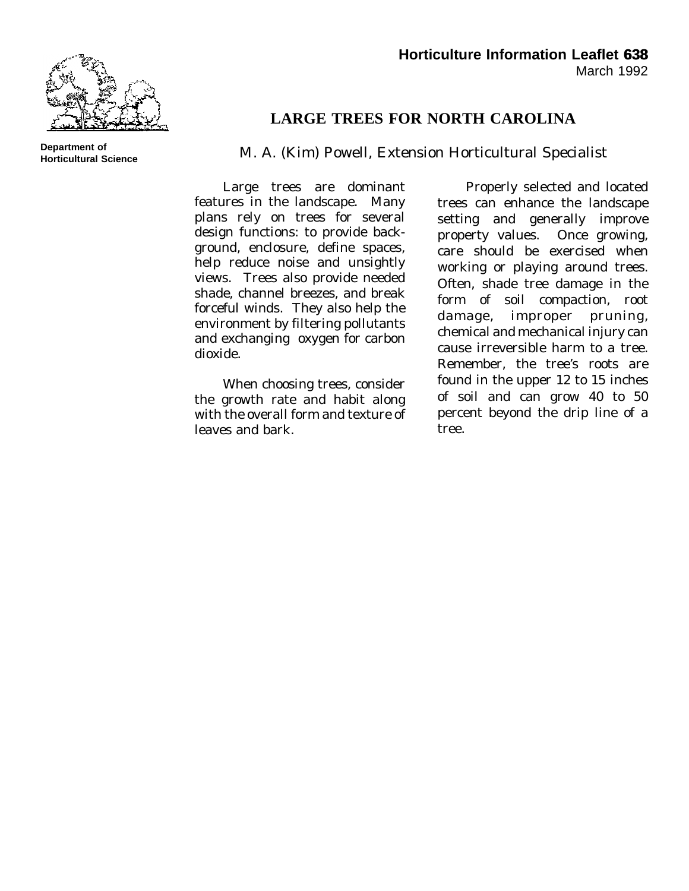

## **LARGE TREES FOR NORTH CAROLINA**

## M. A. (Kim) Powell, Extension Horticultural Specialist

Large trees are dominant features in the landscape. Many plans rely on trees for several design functions: to provide background, enclosure, define spaces, help reduce noise and unsightly views. Trees also provide needed shade, channel breezes, and break forceful winds. They also help the environment by filtering pollutants and exchanging oxygen for carbon dioxide.

When choosing trees, consider the growth rate and habit along with the overall form and texture of leaves and bark.

Properly selected and located trees can enhance the landscape setting and generally improve property values. Once growing, care should be exercised when working or playing around trees. Often, shade tree damage in the form of soil compaction, root damage, improper pruning, chemical and mechanical injury can cause irreversible harm to a tree. Remember, the tree's roots are found in the upper 12 to 15 inches of soil and can grow 40 to 50 percent beyond the drip line of a tree.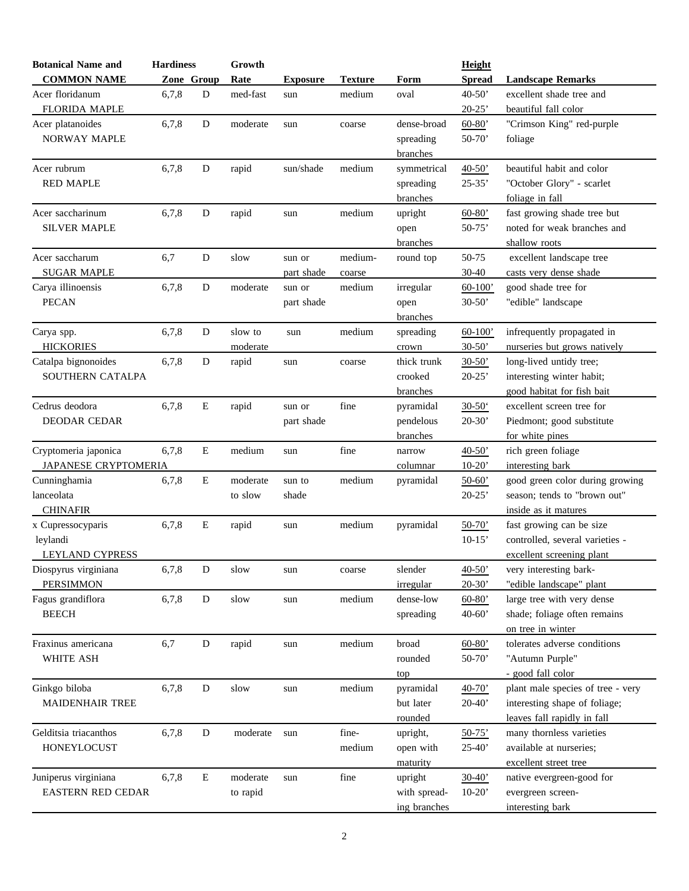| <b>COMMON NAME</b><br>Zone Group<br>Rate<br><b>Spread</b><br><b>Landscape Remarks</b><br><b>Texture</b><br>Form<br><b>Exposure</b><br>med-fast<br>$40 - 50'$<br>Acer floridanum<br>6,7,8<br>D<br>medium<br>oval<br>excellent shade tree and<br>sun<br><b>FLORIDA MAPLE</b><br>$20-25'$<br>beautiful fall color<br>6,7,8<br>D<br>dense-broad<br>"Crimson King" red-purple<br>moderate<br>$60-80'$<br>sun<br>coarse<br><b>NORWAY MAPLE</b><br>$50-70'$<br>spreading<br>foliage<br>branches<br>6,7,8<br>D<br>Acer rubrum<br>rapid<br>sun/shade<br>medium<br>beautiful habit and color<br>symmetrical<br>$40-50'$<br><b>RED MAPLE</b><br>$25 - 35'$<br>"October Glory" - scarlet<br>spreading<br>branches<br>foliage in fall<br>fast growing shade tree but<br>6,7,8<br>D<br>rapid<br>medium<br>upright<br>$60 - 80'$<br>sun<br>noted for weak branches and<br><b>SILVER MAPLE</b><br>$50-75'$<br>open<br>branches<br>shallow roots<br>6,7<br>$\mathbf D$<br>50-75<br>Acer saccharum<br>slow<br>medium-<br>excellent landscape tree<br>round top<br>sun or<br><b>SUGAR MAPLE</b><br>$30 - 40$<br>casts very dense shade<br>part shade<br>coarse<br>good shade tree for<br>6,7,8<br>D<br>moderate<br>medium<br>irregular<br>$60-100'$<br>sun or<br><b>PECAN</b><br>"edible" landscape<br>$30-50'$<br>part shade<br>open<br>branches<br>6,7,8<br>D<br>slow to<br>medium<br>infrequently propagated in<br>spreading<br>$60-100'$<br>sun<br><b>HICKORIES</b><br>$30-50'$<br>nurseries but grows natively<br>moderate<br>crown<br>6,7,8<br>D<br>rapid<br>thick trunk<br>long-lived untidy tree;<br>$30-50'$<br>sun<br>coarse<br>SOUTHERN CATALPA<br>$20 - 25'$<br>interesting winter habit;<br>crooked<br>good habitat for fish bait<br>branches<br>$\bf E$<br>6,7,8<br>rapid<br>fine<br>$30 - 50$<br>excellent screen tree for<br>pyramidal<br>sun or<br>DEODAR CEDAR<br>$20-30'$<br>Piedmont; good substitute<br>part shade<br>pendelous<br>for white pines<br>branches<br>E<br>fine<br>rich green foliage<br>6,7,8<br>medium<br>$40-50'$<br>sun<br>narrow<br>JAPANESE CRYPTOMERIA<br>$10-20'$<br>interesting bark<br>columnar<br>${\bf E}$<br>good green color during growing<br>6,7,8<br>medium<br>moderate<br>pyramidal<br>$50-60'$<br>sun to<br>$20 - 25'$<br>season; tends to "brown out"<br>to slow<br>shade<br><b>CHINAFIR</b><br>inside as it matures<br>fast growing can be size<br>6,7,8<br>E<br>medium<br>rapid<br>pyramidal<br>$50-70'$<br>sun<br>$10-15'$<br>controlled, several varieties -<br>leylandi<br>LEYLAND CYPRESS<br>excellent screening plant<br>Diospyrus virginiana<br>6,7,8<br>slender<br>very interesting bark-<br>D<br>slow<br>$40-50'$<br>sun<br>coarse<br>"edible landscape" plant<br><b>PERSIMMON</b><br>$20-30'$<br>irregular<br>large tree with very dense<br>dense-low<br>6,7,8<br>D<br>slow<br>medium<br>$60 - 80'$<br>sun<br><b>BEECH</b><br>shade; foliage often remains<br>$40 - 60'$<br>spreading<br>on tree in winter<br>6,7<br>D<br>medium<br>broad<br>tolerates adverse conditions<br>rapid<br>$60 - 80'$<br>sun<br>WHITE ASH<br>"Autumn Purple"<br>rounded<br>$50-70'$<br>- good fall color<br>top<br>plant male species of tree - very<br>6,7,8<br>D<br>slow<br>medium<br>pyramidal<br>$40-70'$<br>sun<br><b>MAIDENHAIR TREE</b><br>interesting shape of foliage;<br>but later<br>$20-40'$<br>leaves fall rapidly in fall<br>rounded<br>6,7,8<br>fine-<br>many thornless varieties<br>D<br>moderate<br>upright,<br>sun<br>$50-75'$<br>available at nurseries;<br>HONEYLOCUST<br>medium<br>open with<br>$25-40'$<br>excellent street tree<br>maturity<br>6,7,8<br>E<br>moderate<br>fine<br>upright<br>$30 - 40'$<br>native evergreen-good for<br>sun<br><b>EASTERN RED CEDAR</b><br>with spread-<br>$10-20'$<br>to rapid<br>evergreen screen-<br>ing branches<br>interesting bark | <b>Botanical Name and</b> | <b>Hardiness</b> | Growth |  | Height |  |
|------------------------------------------------------------------------------------------------------------------------------------------------------------------------------------------------------------------------------------------------------------------------------------------------------------------------------------------------------------------------------------------------------------------------------------------------------------------------------------------------------------------------------------------------------------------------------------------------------------------------------------------------------------------------------------------------------------------------------------------------------------------------------------------------------------------------------------------------------------------------------------------------------------------------------------------------------------------------------------------------------------------------------------------------------------------------------------------------------------------------------------------------------------------------------------------------------------------------------------------------------------------------------------------------------------------------------------------------------------------------------------------------------------------------------------------------------------------------------------------------------------------------------------------------------------------------------------------------------------------------------------------------------------------------------------------------------------------------------------------------------------------------------------------------------------------------------------------------------------------------------------------------------------------------------------------------------------------------------------------------------------------------------------------------------------------------------------------------------------------------------------------------------------------------------------------------------------------------------------------------------------------------------------------------------------------------------------------------------------------------------------------------------------------------------------------------------------------------------------------------------------------------------------------------------------------------------------------------------------------------------------------------------------------------------------------------------------------------------------------------------------------------------------------------------------------------------------------------------------------------------------------------------------------------------------------------------------------------------------------------------------------------------------------------------------------------------------------------------------------------------------------------------------------------------------------------------------------------------------------------------------------------------------------------------------------------------------------------------------------------------------------------------------------------------------------------------------------------------------------------------------------------------------------------------------------------------------------------------------------------------------------------------------------------------------------------------------------------------------------------------------------------------------------------------------------------|---------------------------|------------------|--------|--|--------|--|
|                                                                                                                                                                                                                                                                                                                                                                                                                                                                                                                                                                                                                                                                                                                                                                                                                                                                                                                                                                                                                                                                                                                                                                                                                                                                                                                                                                                                                                                                                                                                                                                                                                                                                                                                                                                                                                                                                                                                                                                                                                                                                                                                                                                                                                                                                                                                                                                                                                                                                                                                                                                                                                                                                                                                                                                                                                                                                                                                                                                                                                                                                                                                                                                                                                                                                                                                                                                                                                                                                                                                                                                                                                                                                                                                                                                                                        |                           |                  |        |  |        |  |
|                                                                                                                                                                                                                                                                                                                                                                                                                                                                                                                                                                                                                                                                                                                                                                                                                                                                                                                                                                                                                                                                                                                                                                                                                                                                                                                                                                                                                                                                                                                                                                                                                                                                                                                                                                                                                                                                                                                                                                                                                                                                                                                                                                                                                                                                                                                                                                                                                                                                                                                                                                                                                                                                                                                                                                                                                                                                                                                                                                                                                                                                                                                                                                                                                                                                                                                                                                                                                                                                                                                                                                                                                                                                                                                                                                                                                        |                           |                  |        |  |        |  |
|                                                                                                                                                                                                                                                                                                                                                                                                                                                                                                                                                                                                                                                                                                                                                                                                                                                                                                                                                                                                                                                                                                                                                                                                                                                                                                                                                                                                                                                                                                                                                                                                                                                                                                                                                                                                                                                                                                                                                                                                                                                                                                                                                                                                                                                                                                                                                                                                                                                                                                                                                                                                                                                                                                                                                                                                                                                                                                                                                                                                                                                                                                                                                                                                                                                                                                                                                                                                                                                                                                                                                                                                                                                                                                                                                                                                                        |                           |                  |        |  |        |  |
|                                                                                                                                                                                                                                                                                                                                                                                                                                                                                                                                                                                                                                                                                                                                                                                                                                                                                                                                                                                                                                                                                                                                                                                                                                                                                                                                                                                                                                                                                                                                                                                                                                                                                                                                                                                                                                                                                                                                                                                                                                                                                                                                                                                                                                                                                                                                                                                                                                                                                                                                                                                                                                                                                                                                                                                                                                                                                                                                                                                                                                                                                                                                                                                                                                                                                                                                                                                                                                                                                                                                                                                                                                                                                                                                                                                                                        | Acer platanoides          |                  |        |  |        |  |
|                                                                                                                                                                                                                                                                                                                                                                                                                                                                                                                                                                                                                                                                                                                                                                                                                                                                                                                                                                                                                                                                                                                                                                                                                                                                                                                                                                                                                                                                                                                                                                                                                                                                                                                                                                                                                                                                                                                                                                                                                                                                                                                                                                                                                                                                                                                                                                                                                                                                                                                                                                                                                                                                                                                                                                                                                                                                                                                                                                                                                                                                                                                                                                                                                                                                                                                                                                                                                                                                                                                                                                                                                                                                                                                                                                                                                        |                           |                  |        |  |        |  |
|                                                                                                                                                                                                                                                                                                                                                                                                                                                                                                                                                                                                                                                                                                                                                                                                                                                                                                                                                                                                                                                                                                                                                                                                                                                                                                                                                                                                                                                                                                                                                                                                                                                                                                                                                                                                                                                                                                                                                                                                                                                                                                                                                                                                                                                                                                                                                                                                                                                                                                                                                                                                                                                                                                                                                                                                                                                                                                                                                                                                                                                                                                                                                                                                                                                                                                                                                                                                                                                                                                                                                                                                                                                                                                                                                                                                                        |                           |                  |        |  |        |  |
|                                                                                                                                                                                                                                                                                                                                                                                                                                                                                                                                                                                                                                                                                                                                                                                                                                                                                                                                                                                                                                                                                                                                                                                                                                                                                                                                                                                                                                                                                                                                                                                                                                                                                                                                                                                                                                                                                                                                                                                                                                                                                                                                                                                                                                                                                                                                                                                                                                                                                                                                                                                                                                                                                                                                                                                                                                                                                                                                                                                                                                                                                                                                                                                                                                                                                                                                                                                                                                                                                                                                                                                                                                                                                                                                                                                                                        |                           |                  |        |  |        |  |
|                                                                                                                                                                                                                                                                                                                                                                                                                                                                                                                                                                                                                                                                                                                                                                                                                                                                                                                                                                                                                                                                                                                                                                                                                                                                                                                                                                                                                                                                                                                                                                                                                                                                                                                                                                                                                                                                                                                                                                                                                                                                                                                                                                                                                                                                                                                                                                                                                                                                                                                                                                                                                                                                                                                                                                                                                                                                                                                                                                                                                                                                                                                                                                                                                                                                                                                                                                                                                                                                                                                                                                                                                                                                                                                                                                                                                        |                           |                  |        |  |        |  |
|                                                                                                                                                                                                                                                                                                                                                                                                                                                                                                                                                                                                                                                                                                                                                                                                                                                                                                                                                                                                                                                                                                                                                                                                                                                                                                                                                                                                                                                                                                                                                                                                                                                                                                                                                                                                                                                                                                                                                                                                                                                                                                                                                                                                                                                                                                                                                                                                                                                                                                                                                                                                                                                                                                                                                                                                                                                                                                                                                                                                                                                                                                                                                                                                                                                                                                                                                                                                                                                                                                                                                                                                                                                                                                                                                                                                                        |                           |                  |        |  |        |  |
|                                                                                                                                                                                                                                                                                                                                                                                                                                                                                                                                                                                                                                                                                                                                                                                                                                                                                                                                                                                                                                                                                                                                                                                                                                                                                                                                                                                                                                                                                                                                                                                                                                                                                                                                                                                                                                                                                                                                                                                                                                                                                                                                                                                                                                                                                                                                                                                                                                                                                                                                                                                                                                                                                                                                                                                                                                                                                                                                                                                                                                                                                                                                                                                                                                                                                                                                                                                                                                                                                                                                                                                                                                                                                                                                                                                                                        | Acer saccharinum          |                  |        |  |        |  |
|                                                                                                                                                                                                                                                                                                                                                                                                                                                                                                                                                                                                                                                                                                                                                                                                                                                                                                                                                                                                                                                                                                                                                                                                                                                                                                                                                                                                                                                                                                                                                                                                                                                                                                                                                                                                                                                                                                                                                                                                                                                                                                                                                                                                                                                                                                                                                                                                                                                                                                                                                                                                                                                                                                                                                                                                                                                                                                                                                                                                                                                                                                                                                                                                                                                                                                                                                                                                                                                                                                                                                                                                                                                                                                                                                                                                                        |                           |                  |        |  |        |  |
|                                                                                                                                                                                                                                                                                                                                                                                                                                                                                                                                                                                                                                                                                                                                                                                                                                                                                                                                                                                                                                                                                                                                                                                                                                                                                                                                                                                                                                                                                                                                                                                                                                                                                                                                                                                                                                                                                                                                                                                                                                                                                                                                                                                                                                                                                                                                                                                                                                                                                                                                                                                                                                                                                                                                                                                                                                                                                                                                                                                                                                                                                                                                                                                                                                                                                                                                                                                                                                                                                                                                                                                                                                                                                                                                                                                                                        |                           |                  |        |  |        |  |
|                                                                                                                                                                                                                                                                                                                                                                                                                                                                                                                                                                                                                                                                                                                                                                                                                                                                                                                                                                                                                                                                                                                                                                                                                                                                                                                                                                                                                                                                                                                                                                                                                                                                                                                                                                                                                                                                                                                                                                                                                                                                                                                                                                                                                                                                                                                                                                                                                                                                                                                                                                                                                                                                                                                                                                                                                                                                                                                                                                                                                                                                                                                                                                                                                                                                                                                                                                                                                                                                                                                                                                                                                                                                                                                                                                                                                        |                           |                  |        |  |        |  |
|                                                                                                                                                                                                                                                                                                                                                                                                                                                                                                                                                                                                                                                                                                                                                                                                                                                                                                                                                                                                                                                                                                                                                                                                                                                                                                                                                                                                                                                                                                                                                                                                                                                                                                                                                                                                                                                                                                                                                                                                                                                                                                                                                                                                                                                                                                                                                                                                                                                                                                                                                                                                                                                                                                                                                                                                                                                                                                                                                                                                                                                                                                                                                                                                                                                                                                                                                                                                                                                                                                                                                                                                                                                                                                                                                                                                                        |                           |                  |        |  |        |  |
|                                                                                                                                                                                                                                                                                                                                                                                                                                                                                                                                                                                                                                                                                                                                                                                                                                                                                                                                                                                                                                                                                                                                                                                                                                                                                                                                                                                                                                                                                                                                                                                                                                                                                                                                                                                                                                                                                                                                                                                                                                                                                                                                                                                                                                                                                                                                                                                                                                                                                                                                                                                                                                                                                                                                                                                                                                                                                                                                                                                                                                                                                                                                                                                                                                                                                                                                                                                                                                                                                                                                                                                                                                                                                                                                                                                                                        | Carya illinoensis         |                  |        |  |        |  |
|                                                                                                                                                                                                                                                                                                                                                                                                                                                                                                                                                                                                                                                                                                                                                                                                                                                                                                                                                                                                                                                                                                                                                                                                                                                                                                                                                                                                                                                                                                                                                                                                                                                                                                                                                                                                                                                                                                                                                                                                                                                                                                                                                                                                                                                                                                                                                                                                                                                                                                                                                                                                                                                                                                                                                                                                                                                                                                                                                                                                                                                                                                                                                                                                                                                                                                                                                                                                                                                                                                                                                                                                                                                                                                                                                                                                                        |                           |                  |        |  |        |  |
|                                                                                                                                                                                                                                                                                                                                                                                                                                                                                                                                                                                                                                                                                                                                                                                                                                                                                                                                                                                                                                                                                                                                                                                                                                                                                                                                                                                                                                                                                                                                                                                                                                                                                                                                                                                                                                                                                                                                                                                                                                                                                                                                                                                                                                                                                                                                                                                                                                                                                                                                                                                                                                                                                                                                                                                                                                                                                                                                                                                                                                                                                                                                                                                                                                                                                                                                                                                                                                                                                                                                                                                                                                                                                                                                                                                                                        |                           |                  |        |  |        |  |
|                                                                                                                                                                                                                                                                                                                                                                                                                                                                                                                                                                                                                                                                                                                                                                                                                                                                                                                                                                                                                                                                                                                                                                                                                                                                                                                                                                                                                                                                                                                                                                                                                                                                                                                                                                                                                                                                                                                                                                                                                                                                                                                                                                                                                                                                                                                                                                                                                                                                                                                                                                                                                                                                                                                                                                                                                                                                                                                                                                                                                                                                                                                                                                                                                                                                                                                                                                                                                                                                                                                                                                                                                                                                                                                                                                                                                        | Carya spp.                |                  |        |  |        |  |
|                                                                                                                                                                                                                                                                                                                                                                                                                                                                                                                                                                                                                                                                                                                                                                                                                                                                                                                                                                                                                                                                                                                                                                                                                                                                                                                                                                                                                                                                                                                                                                                                                                                                                                                                                                                                                                                                                                                                                                                                                                                                                                                                                                                                                                                                                                                                                                                                                                                                                                                                                                                                                                                                                                                                                                                                                                                                                                                                                                                                                                                                                                                                                                                                                                                                                                                                                                                                                                                                                                                                                                                                                                                                                                                                                                                                                        |                           |                  |        |  |        |  |
|                                                                                                                                                                                                                                                                                                                                                                                                                                                                                                                                                                                                                                                                                                                                                                                                                                                                                                                                                                                                                                                                                                                                                                                                                                                                                                                                                                                                                                                                                                                                                                                                                                                                                                                                                                                                                                                                                                                                                                                                                                                                                                                                                                                                                                                                                                                                                                                                                                                                                                                                                                                                                                                                                                                                                                                                                                                                                                                                                                                                                                                                                                                                                                                                                                                                                                                                                                                                                                                                                                                                                                                                                                                                                                                                                                                                                        | Catalpa bignonoides       |                  |        |  |        |  |
|                                                                                                                                                                                                                                                                                                                                                                                                                                                                                                                                                                                                                                                                                                                                                                                                                                                                                                                                                                                                                                                                                                                                                                                                                                                                                                                                                                                                                                                                                                                                                                                                                                                                                                                                                                                                                                                                                                                                                                                                                                                                                                                                                                                                                                                                                                                                                                                                                                                                                                                                                                                                                                                                                                                                                                                                                                                                                                                                                                                                                                                                                                                                                                                                                                                                                                                                                                                                                                                                                                                                                                                                                                                                                                                                                                                                                        |                           |                  |        |  |        |  |
|                                                                                                                                                                                                                                                                                                                                                                                                                                                                                                                                                                                                                                                                                                                                                                                                                                                                                                                                                                                                                                                                                                                                                                                                                                                                                                                                                                                                                                                                                                                                                                                                                                                                                                                                                                                                                                                                                                                                                                                                                                                                                                                                                                                                                                                                                                                                                                                                                                                                                                                                                                                                                                                                                                                                                                                                                                                                                                                                                                                                                                                                                                                                                                                                                                                                                                                                                                                                                                                                                                                                                                                                                                                                                                                                                                                                                        |                           |                  |        |  |        |  |
|                                                                                                                                                                                                                                                                                                                                                                                                                                                                                                                                                                                                                                                                                                                                                                                                                                                                                                                                                                                                                                                                                                                                                                                                                                                                                                                                                                                                                                                                                                                                                                                                                                                                                                                                                                                                                                                                                                                                                                                                                                                                                                                                                                                                                                                                                                                                                                                                                                                                                                                                                                                                                                                                                                                                                                                                                                                                                                                                                                                                                                                                                                                                                                                                                                                                                                                                                                                                                                                                                                                                                                                                                                                                                                                                                                                                                        | Cedrus deodora            |                  |        |  |        |  |
|                                                                                                                                                                                                                                                                                                                                                                                                                                                                                                                                                                                                                                                                                                                                                                                                                                                                                                                                                                                                                                                                                                                                                                                                                                                                                                                                                                                                                                                                                                                                                                                                                                                                                                                                                                                                                                                                                                                                                                                                                                                                                                                                                                                                                                                                                                                                                                                                                                                                                                                                                                                                                                                                                                                                                                                                                                                                                                                                                                                                                                                                                                                                                                                                                                                                                                                                                                                                                                                                                                                                                                                                                                                                                                                                                                                                                        |                           |                  |        |  |        |  |
|                                                                                                                                                                                                                                                                                                                                                                                                                                                                                                                                                                                                                                                                                                                                                                                                                                                                                                                                                                                                                                                                                                                                                                                                                                                                                                                                                                                                                                                                                                                                                                                                                                                                                                                                                                                                                                                                                                                                                                                                                                                                                                                                                                                                                                                                                                                                                                                                                                                                                                                                                                                                                                                                                                                                                                                                                                                                                                                                                                                                                                                                                                                                                                                                                                                                                                                                                                                                                                                                                                                                                                                                                                                                                                                                                                                                                        |                           |                  |        |  |        |  |
|                                                                                                                                                                                                                                                                                                                                                                                                                                                                                                                                                                                                                                                                                                                                                                                                                                                                                                                                                                                                                                                                                                                                                                                                                                                                                                                                                                                                                                                                                                                                                                                                                                                                                                                                                                                                                                                                                                                                                                                                                                                                                                                                                                                                                                                                                                                                                                                                                                                                                                                                                                                                                                                                                                                                                                                                                                                                                                                                                                                                                                                                                                                                                                                                                                                                                                                                                                                                                                                                                                                                                                                                                                                                                                                                                                                                                        | Cryptomeria japonica      |                  |        |  |        |  |
|                                                                                                                                                                                                                                                                                                                                                                                                                                                                                                                                                                                                                                                                                                                                                                                                                                                                                                                                                                                                                                                                                                                                                                                                                                                                                                                                                                                                                                                                                                                                                                                                                                                                                                                                                                                                                                                                                                                                                                                                                                                                                                                                                                                                                                                                                                                                                                                                                                                                                                                                                                                                                                                                                                                                                                                                                                                                                                                                                                                                                                                                                                                                                                                                                                                                                                                                                                                                                                                                                                                                                                                                                                                                                                                                                                                                                        |                           |                  |        |  |        |  |
|                                                                                                                                                                                                                                                                                                                                                                                                                                                                                                                                                                                                                                                                                                                                                                                                                                                                                                                                                                                                                                                                                                                                                                                                                                                                                                                                                                                                                                                                                                                                                                                                                                                                                                                                                                                                                                                                                                                                                                                                                                                                                                                                                                                                                                                                                                                                                                                                                                                                                                                                                                                                                                                                                                                                                                                                                                                                                                                                                                                                                                                                                                                                                                                                                                                                                                                                                                                                                                                                                                                                                                                                                                                                                                                                                                                                                        | Cunninghamia              |                  |        |  |        |  |
|                                                                                                                                                                                                                                                                                                                                                                                                                                                                                                                                                                                                                                                                                                                                                                                                                                                                                                                                                                                                                                                                                                                                                                                                                                                                                                                                                                                                                                                                                                                                                                                                                                                                                                                                                                                                                                                                                                                                                                                                                                                                                                                                                                                                                                                                                                                                                                                                                                                                                                                                                                                                                                                                                                                                                                                                                                                                                                                                                                                                                                                                                                                                                                                                                                                                                                                                                                                                                                                                                                                                                                                                                                                                                                                                                                                                                        | lanceolata                |                  |        |  |        |  |
|                                                                                                                                                                                                                                                                                                                                                                                                                                                                                                                                                                                                                                                                                                                                                                                                                                                                                                                                                                                                                                                                                                                                                                                                                                                                                                                                                                                                                                                                                                                                                                                                                                                                                                                                                                                                                                                                                                                                                                                                                                                                                                                                                                                                                                                                                                                                                                                                                                                                                                                                                                                                                                                                                                                                                                                                                                                                                                                                                                                                                                                                                                                                                                                                                                                                                                                                                                                                                                                                                                                                                                                                                                                                                                                                                                                                                        |                           |                  |        |  |        |  |
|                                                                                                                                                                                                                                                                                                                                                                                                                                                                                                                                                                                                                                                                                                                                                                                                                                                                                                                                                                                                                                                                                                                                                                                                                                                                                                                                                                                                                                                                                                                                                                                                                                                                                                                                                                                                                                                                                                                                                                                                                                                                                                                                                                                                                                                                                                                                                                                                                                                                                                                                                                                                                                                                                                                                                                                                                                                                                                                                                                                                                                                                                                                                                                                                                                                                                                                                                                                                                                                                                                                                                                                                                                                                                                                                                                                                                        | x Cupressocyparis         |                  |        |  |        |  |
|                                                                                                                                                                                                                                                                                                                                                                                                                                                                                                                                                                                                                                                                                                                                                                                                                                                                                                                                                                                                                                                                                                                                                                                                                                                                                                                                                                                                                                                                                                                                                                                                                                                                                                                                                                                                                                                                                                                                                                                                                                                                                                                                                                                                                                                                                                                                                                                                                                                                                                                                                                                                                                                                                                                                                                                                                                                                                                                                                                                                                                                                                                                                                                                                                                                                                                                                                                                                                                                                                                                                                                                                                                                                                                                                                                                                                        |                           |                  |        |  |        |  |
|                                                                                                                                                                                                                                                                                                                                                                                                                                                                                                                                                                                                                                                                                                                                                                                                                                                                                                                                                                                                                                                                                                                                                                                                                                                                                                                                                                                                                                                                                                                                                                                                                                                                                                                                                                                                                                                                                                                                                                                                                                                                                                                                                                                                                                                                                                                                                                                                                                                                                                                                                                                                                                                                                                                                                                                                                                                                                                                                                                                                                                                                                                                                                                                                                                                                                                                                                                                                                                                                                                                                                                                                                                                                                                                                                                                                                        |                           |                  |        |  |        |  |
|                                                                                                                                                                                                                                                                                                                                                                                                                                                                                                                                                                                                                                                                                                                                                                                                                                                                                                                                                                                                                                                                                                                                                                                                                                                                                                                                                                                                                                                                                                                                                                                                                                                                                                                                                                                                                                                                                                                                                                                                                                                                                                                                                                                                                                                                                                                                                                                                                                                                                                                                                                                                                                                                                                                                                                                                                                                                                                                                                                                                                                                                                                                                                                                                                                                                                                                                                                                                                                                                                                                                                                                                                                                                                                                                                                                                                        |                           |                  |        |  |        |  |
|                                                                                                                                                                                                                                                                                                                                                                                                                                                                                                                                                                                                                                                                                                                                                                                                                                                                                                                                                                                                                                                                                                                                                                                                                                                                                                                                                                                                                                                                                                                                                                                                                                                                                                                                                                                                                                                                                                                                                                                                                                                                                                                                                                                                                                                                                                                                                                                                                                                                                                                                                                                                                                                                                                                                                                                                                                                                                                                                                                                                                                                                                                                                                                                                                                                                                                                                                                                                                                                                                                                                                                                                                                                                                                                                                                                                                        |                           |                  |        |  |        |  |
|                                                                                                                                                                                                                                                                                                                                                                                                                                                                                                                                                                                                                                                                                                                                                                                                                                                                                                                                                                                                                                                                                                                                                                                                                                                                                                                                                                                                                                                                                                                                                                                                                                                                                                                                                                                                                                                                                                                                                                                                                                                                                                                                                                                                                                                                                                                                                                                                                                                                                                                                                                                                                                                                                                                                                                                                                                                                                                                                                                                                                                                                                                                                                                                                                                                                                                                                                                                                                                                                                                                                                                                                                                                                                                                                                                                                                        | Fagus grandiflora         |                  |        |  |        |  |
|                                                                                                                                                                                                                                                                                                                                                                                                                                                                                                                                                                                                                                                                                                                                                                                                                                                                                                                                                                                                                                                                                                                                                                                                                                                                                                                                                                                                                                                                                                                                                                                                                                                                                                                                                                                                                                                                                                                                                                                                                                                                                                                                                                                                                                                                                                                                                                                                                                                                                                                                                                                                                                                                                                                                                                                                                                                                                                                                                                                                                                                                                                                                                                                                                                                                                                                                                                                                                                                                                                                                                                                                                                                                                                                                                                                                                        |                           |                  |        |  |        |  |
|                                                                                                                                                                                                                                                                                                                                                                                                                                                                                                                                                                                                                                                                                                                                                                                                                                                                                                                                                                                                                                                                                                                                                                                                                                                                                                                                                                                                                                                                                                                                                                                                                                                                                                                                                                                                                                                                                                                                                                                                                                                                                                                                                                                                                                                                                                                                                                                                                                                                                                                                                                                                                                                                                                                                                                                                                                                                                                                                                                                                                                                                                                                                                                                                                                                                                                                                                                                                                                                                                                                                                                                                                                                                                                                                                                                                                        |                           |                  |        |  |        |  |
|                                                                                                                                                                                                                                                                                                                                                                                                                                                                                                                                                                                                                                                                                                                                                                                                                                                                                                                                                                                                                                                                                                                                                                                                                                                                                                                                                                                                                                                                                                                                                                                                                                                                                                                                                                                                                                                                                                                                                                                                                                                                                                                                                                                                                                                                                                                                                                                                                                                                                                                                                                                                                                                                                                                                                                                                                                                                                                                                                                                                                                                                                                                                                                                                                                                                                                                                                                                                                                                                                                                                                                                                                                                                                                                                                                                                                        | Fraxinus americana        |                  |        |  |        |  |
|                                                                                                                                                                                                                                                                                                                                                                                                                                                                                                                                                                                                                                                                                                                                                                                                                                                                                                                                                                                                                                                                                                                                                                                                                                                                                                                                                                                                                                                                                                                                                                                                                                                                                                                                                                                                                                                                                                                                                                                                                                                                                                                                                                                                                                                                                                                                                                                                                                                                                                                                                                                                                                                                                                                                                                                                                                                                                                                                                                                                                                                                                                                                                                                                                                                                                                                                                                                                                                                                                                                                                                                                                                                                                                                                                                                                                        |                           |                  |        |  |        |  |
|                                                                                                                                                                                                                                                                                                                                                                                                                                                                                                                                                                                                                                                                                                                                                                                                                                                                                                                                                                                                                                                                                                                                                                                                                                                                                                                                                                                                                                                                                                                                                                                                                                                                                                                                                                                                                                                                                                                                                                                                                                                                                                                                                                                                                                                                                                                                                                                                                                                                                                                                                                                                                                                                                                                                                                                                                                                                                                                                                                                                                                                                                                                                                                                                                                                                                                                                                                                                                                                                                                                                                                                                                                                                                                                                                                                                                        |                           |                  |        |  |        |  |
|                                                                                                                                                                                                                                                                                                                                                                                                                                                                                                                                                                                                                                                                                                                                                                                                                                                                                                                                                                                                                                                                                                                                                                                                                                                                                                                                                                                                                                                                                                                                                                                                                                                                                                                                                                                                                                                                                                                                                                                                                                                                                                                                                                                                                                                                                                                                                                                                                                                                                                                                                                                                                                                                                                                                                                                                                                                                                                                                                                                                                                                                                                                                                                                                                                                                                                                                                                                                                                                                                                                                                                                                                                                                                                                                                                                                                        | Ginkgo biloba             |                  |        |  |        |  |
|                                                                                                                                                                                                                                                                                                                                                                                                                                                                                                                                                                                                                                                                                                                                                                                                                                                                                                                                                                                                                                                                                                                                                                                                                                                                                                                                                                                                                                                                                                                                                                                                                                                                                                                                                                                                                                                                                                                                                                                                                                                                                                                                                                                                                                                                                                                                                                                                                                                                                                                                                                                                                                                                                                                                                                                                                                                                                                                                                                                                                                                                                                                                                                                                                                                                                                                                                                                                                                                                                                                                                                                                                                                                                                                                                                                                                        |                           |                  |        |  |        |  |
|                                                                                                                                                                                                                                                                                                                                                                                                                                                                                                                                                                                                                                                                                                                                                                                                                                                                                                                                                                                                                                                                                                                                                                                                                                                                                                                                                                                                                                                                                                                                                                                                                                                                                                                                                                                                                                                                                                                                                                                                                                                                                                                                                                                                                                                                                                                                                                                                                                                                                                                                                                                                                                                                                                                                                                                                                                                                                                                                                                                                                                                                                                                                                                                                                                                                                                                                                                                                                                                                                                                                                                                                                                                                                                                                                                                                                        |                           |                  |        |  |        |  |
|                                                                                                                                                                                                                                                                                                                                                                                                                                                                                                                                                                                                                                                                                                                                                                                                                                                                                                                                                                                                                                                                                                                                                                                                                                                                                                                                                                                                                                                                                                                                                                                                                                                                                                                                                                                                                                                                                                                                                                                                                                                                                                                                                                                                                                                                                                                                                                                                                                                                                                                                                                                                                                                                                                                                                                                                                                                                                                                                                                                                                                                                                                                                                                                                                                                                                                                                                                                                                                                                                                                                                                                                                                                                                                                                                                                                                        | Gelditsia triacanthos     |                  |        |  |        |  |
|                                                                                                                                                                                                                                                                                                                                                                                                                                                                                                                                                                                                                                                                                                                                                                                                                                                                                                                                                                                                                                                                                                                                                                                                                                                                                                                                                                                                                                                                                                                                                                                                                                                                                                                                                                                                                                                                                                                                                                                                                                                                                                                                                                                                                                                                                                                                                                                                                                                                                                                                                                                                                                                                                                                                                                                                                                                                                                                                                                                                                                                                                                                                                                                                                                                                                                                                                                                                                                                                                                                                                                                                                                                                                                                                                                                                                        |                           |                  |        |  |        |  |
|                                                                                                                                                                                                                                                                                                                                                                                                                                                                                                                                                                                                                                                                                                                                                                                                                                                                                                                                                                                                                                                                                                                                                                                                                                                                                                                                                                                                                                                                                                                                                                                                                                                                                                                                                                                                                                                                                                                                                                                                                                                                                                                                                                                                                                                                                                                                                                                                                                                                                                                                                                                                                                                                                                                                                                                                                                                                                                                                                                                                                                                                                                                                                                                                                                                                                                                                                                                                                                                                                                                                                                                                                                                                                                                                                                                                                        |                           |                  |        |  |        |  |
|                                                                                                                                                                                                                                                                                                                                                                                                                                                                                                                                                                                                                                                                                                                                                                                                                                                                                                                                                                                                                                                                                                                                                                                                                                                                                                                                                                                                                                                                                                                                                                                                                                                                                                                                                                                                                                                                                                                                                                                                                                                                                                                                                                                                                                                                                                                                                                                                                                                                                                                                                                                                                                                                                                                                                                                                                                                                                                                                                                                                                                                                                                                                                                                                                                                                                                                                                                                                                                                                                                                                                                                                                                                                                                                                                                                                                        | Juniperus virginiana      |                  |        |  |        |  |
|                                                                                                                                                                                                                                                                                                                                                                                                                                                                                                                                                                                                                                                                                                                                                                                                                                                                                                                                                                                                                                                                                                                                                                                                                                                                                                                                                                                                                                                                                                                                                                                                                                                                                                                                                                                                                                                                                                                                                                                                                                                                                                                                                                                                                                                                                                                                                                                                                                                                                                                                                                                                                                                                                                                                                                                                                                                                                                                                                                                                                                                                                                                                                                                                                                                                                                                                                                                                                                                                                                                                                                                                                                                                                                                                                                                                                        |                           |                  |        |  |        |  |
|                                                                                                                                                                                                                                                                                                                                                                                                                                                                                                                                                                                                                                                                                                                                                                                                                                                                                                                                                                                                                                                                                                                                                                                                                                                                                                                                                                                                                                                                                                                                                                                                                                                                                                                                                                                                                                                                                                                                                                                                                                                                                                                                                                                                                                                                                                                                                                                                                                                                                                                                                                                                                                                                                                                                                                                                                                                                                                                                                                                                                                                                                                                                                                                                                                                                                                                                                                                                                                                                                                                                                                                                                                                                                                                                                                                                                        |                           |                  |        |  |        |  |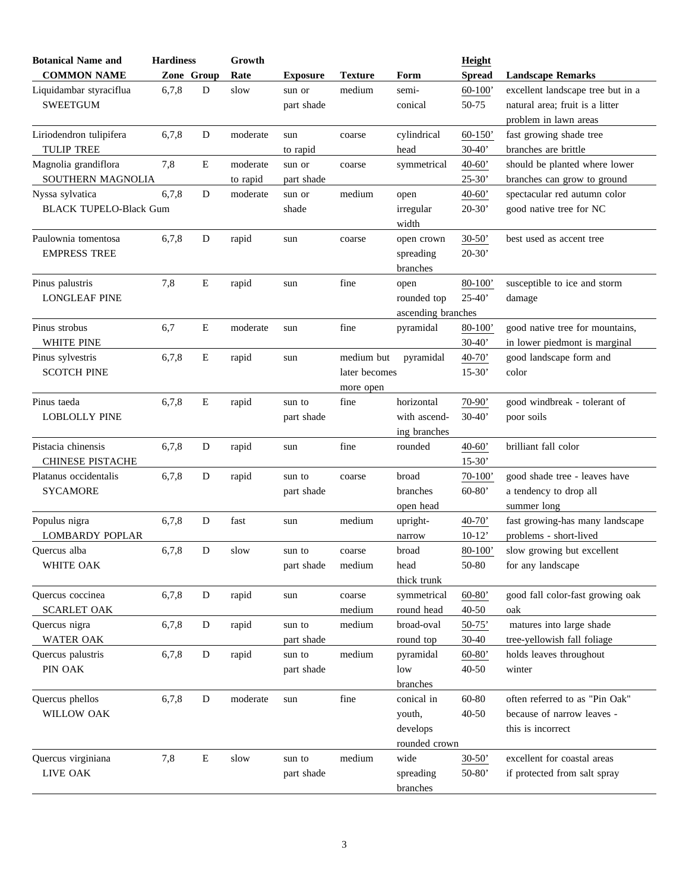| <b>Botanical Name and</b>     | <b>Hardiness</b> |           | Growth   |                 |                |                    | Height        |                                   |
|-------------------------------|------------------|-----------|----------|-----------------|----------------|--------------------|---------------|-----------------------------------|
| <b>COMMON NAME</b>            | Zone Group       |           | Rate     | <b>Exposure</b> | <b>Texture</b> | Form               | <b>Spread</b> | <b>Landscape Remarks</b>          |
| Liquidambar styraciflua       | 6,7,8            | D         | slow     | sun or          | medium         | semi-              | $60-100'$     | excellent landscape tree but in a |
| <b>SWEETGUM</b>               |                  |           |          | part shade      |                | conical            | 50-75         | natural area; fruit is a litter   |
|                               |                  |           |          |                 |                |                    |               | problem in lawn areas             |
| Liriodendron tulipifera       | 6,7,8            | D         | moderate | sun             | coarse         | cylindrical        | $60 - 150'$   | fast growing shade tree           |
| <b>TULIP TREE</b>             |                  |           |          | to rapid        |                | head               | $30-40'$      | branches are brittle              |
| Magnolia grandiflora          | 7,8              | E         | moderate | sun or          | coarse         | symmetrical        | $40 - 60'$    | should be planted where lower     |
| SOUTHERN MAGNOLIA             |                  |           | to rapid | part shade      |                |                    | $25 - 30'$    | branches can grow to ground       |
| Nyssa sylvatica               | 6,7,8            | D         | moderate | sun or          | medium         | open               | $40-60'$      | spectacular red autumn color      |
| <b>BLACK TUPELO-Black Gum</b> |                  |           |          | shade           |                | irregular          | $20-30'$      | good native tree for NC           |
|                               |                  |           |          |                 |                | width              |               |                                   |
| Paulownia tomentosa           | 6,7,8            | D         | rapid    | sun             | coarse         | open crown         | $30-50'$      | best used as accent tree          |
| <b>EMPRESS TREE</b>           |                  |           |          |                 |                | spreading          | $20 - 30'$    |                                   |
|                               |                  |           |          |                 |                | branches           |               |                                   |
| Pinus palustris               | 7,8              | E         | rapid    | sun             | fine           | open               | $80 - 100'$   | susceptible to ice and storm      |
| <b>LONGLEAF PINE</b>          |                  |           |          |                 |                | rounded top        | $25 - 40'$    | damage                            |
|                               |                  |           |          |                 |                | ascending branches |               |                                   |
| Pinus strobus                 | 6,7              | E         | moderate | sun             | fine           | pyramidal          | $80 - 100'$   | good native tree for mountains,   |
| WHITE PINE                    |                  |           |          |                 |                |                    | $30-40'$      | in lower piedmont is marginal     |
| Pinus sylvestris              | 6,7,8            | E         | rapid    | sun             | medium but     | pyramidal          | $40-70'$      | good landscape form and           |
| <b>SCOTCH PINE</b>            |                  |           |          |                 | later becomes  |                    | $15-30'$      | color                             |
|                               |                  |           |          |                 | more open      |                    |               |                                   |
| Pinus taeda                   | 6,7,8            | E         | rapid    | sun to          | fine           | horizontal         | 70-90'        | good windbreak - tolerant of      |
| <b>LOBLOLLY PINE</b>          |                  |           |          | part shade      |                | with ascend-       | $30-40'$      | poor soils                        |
|                               |                  |           |          |                 |                | ing branches       |               |                                   |
| Pistacia chinensis            | 6,7,8            | D         | rapid    | sun             | fine           | rounded            | $40-60'$      | brilliant fall color              |
| <b>CHINESE PISTACHE</b>       |                  |           |          |                 |                |                    | $15-30'$      |                                   |
| Platanus occidentalis         | 6,7,8            | D         | rapid    | sun to          | coarse         | broad              | $70-100'$     | good shade tree - leaves have     |
| <b>SYCAMORE</b>               |                  |           |          | part shade      |                | branches           | $60 - 80'$    | a tendency to drop all            |
|                               |                  |           |          |                 |                | open head          |               | summer long                       |
| Populus nigra                 | 6,7,8            | D         | fast     | sun             | medium         | upright-           | $40-70'$      | fast growing-has many landscape   |
| <b>LOMBARDY POPLAR</b>        |                  |           |          |                 |                | narrow             | $10-12'$      | problems - short-lived            |
| Ouercus alba                  | 6,7,8            | D         | slow     | sun to          | coarse         | broad              | $80 - 100'$   | slow growing but excellent        |
| WHITE OAK                     |                  |           |          | part shade      | medium         | head               | 50-80         | for any landscape                 |
|                               |                  |           |          |                 |                | thick trunk        |               |                                   |
| Quercus coccinea              | 6,7,8            | D         | rapid    | sun             | coarse         | symmetrical        | $60 - 80'$    | good fall color-fast growing oak  |
| <b>SCARLET OAK</b>            |                  |           |          |                 | medium         | round head         | $40 - 50$     | oak                               |
| Quercus nigra                 | 6,7,8            | ${\bf D}$ | rapid    | sun to          | medium         | broad-oval         | $50-75'$      | matures into large shade          |
| <b>WATER OAK</b>              |                  |           |          | part shade      |                | round top          | $30 - 40$     | tree-yellowish fall foliage       |
| Quercus palustris             | 6,7,8            | ${\bf D}$ | rapid    | sun to          | medium         | pyramidal          | $60-80'$      | holds leaves throughout           |
| PIN OAK                       |                  |           |          | part shade      |                | low                | $40 - 50$     | winter                            |
|                               |                  |           |          |                 |                | branches           |               |                                   |
| Quercus phellos               | 6,7,8            | D         | moderate | sun             | fine           | conical in         | 60-80         | often referred to as "Pin Oak"    |
| WILLOW OAK                    |                  |           |          |                 |                | youth,             | $40 - 50$     | because of narrow leaves -        |
|                               |                  |           |          |                 |                | develops           |               | this is incorrect                 |
|                               |                  |           |          |                 |                | rounded crown      |               |                                   |
| Quercus virginiana            | 7,8              | ${\bf E}$ | slow     | sun to          | medium         | wide               | $30 - 50'$    | excellent for coastal areas       |
| LIVE OAK                      |                  |           |          | part shade      |                | spreading          | $50 - 80'$    | if protected from salt spray      |
|                               |                  |           |          |                 |                | branches           |               |                                   |